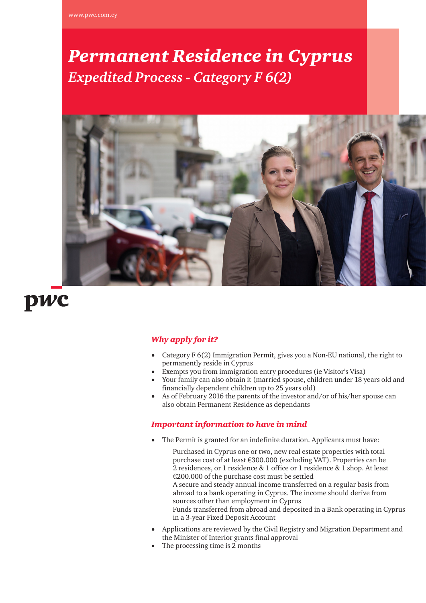# *Permanent Residence in Cyprus Expedited Process - Category F 6(2)*



# pwc

## *Why apply for it?*

- Category F 6(2) Immigration Permit, gives you a Non-EU national, the right to permanently reside in Cyprus
- Exempts you from immigration entry procedures (ie Visitor's Visa)
- Your family can also obtain it (married spouse, children under 18 years old and financially dependent children up to 25 years old)
- As of February 2016 the parents of the investor and/or of his/her spouse can also obtain Permanent Residence as dependants

### *Important information to have in mind*

- The Permit is granted for an indefinite duration. Applicants must have:
	- − Purchased in Cyprus one or two, new real estate properties with total purchase cost of at least €300.000 (excluding VAT). Properties can be 2 residences, or 1 residence & 1 office or 1 residence & 1 shop. At least €200.000 of the purchase cost must be settled
	- − A secure and steady annual income transferred on a regular basis from abroad to a bank operating in Cyprus. The income should derive from sources other than employment in Cyprus
	- Funds transferred from abroad and deposited in a Bank operating in Cyprus in a 3-year Fixed Deposit Account
- Applications are reviewed by the Civil Registry and Migration Department and the Minister of Interior grants final approval
- The processing time is 2 months